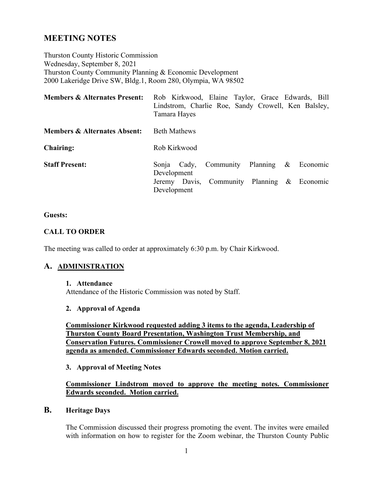## **MEETING NOTES**

Thurston County Historic Commission Wednesday, September 8, 2021 Thurston County Community Planning & Economic Development 2000 Lakeridge Drive SW, Bldg.1, Room 280, Olympia, WA 98502

| <b>Members &amp; Alternates Present:</b> | Rob Kirkwood, Elaine Taylor, Grace Edwards, Bill<br>Lindstrom, Charlie Roe, Sandy Crowell, Ken Balsley,<br>Tamara Hayes |
|------------------------------------------|-------------------------------------------------------------------------------------------------------------------------|
| <b>Members &amp; Alternates Absent:</b>  | <b>Beth Mathews</b>                                                                                                     |
| <b>Chairing:</b>                         | Rob Kirkwood                                                                                                            |
| <b>Staff Present:</b>                    | Community Planning & Economic<br>Sonja Cady,<br>Development                                                             |
|                                          | Jeremy Davis, Community Planning & Economic<br>Development                                                              |

#### **Guests:**

#### **CALL TO ORDER**

The meeting was called to order at approximately 6:30 p.m. by Chair Kirkwood.

## **A. ADMINISTRATION**

#### **1. Attendance**

Attendance of the Historic Commission was noted by Staff.

#### **2. Approval of Agenda**

**Commissioner Kirkwood requested adding 3 items to the agenda, Leadership of Thurston County Board Presentation, Washington Trust Membership, and Conservation Futures. Commissioner Crowell moved to approve September 8, 2021 agenda as amended. Commissioner Edwards seconded. Motion carried.** 

**3. Approval of Meeting Notes**

#### **Commissioner Lindstrom moved to approve the meeting notes. Commissioner Edwards seconded. Motion carried.**

#### **B. Heritage Days**

The Commission discussed their progress promoting the event. The invites were emailed with information on how to register for the Zoom webinar, the Thurston County Public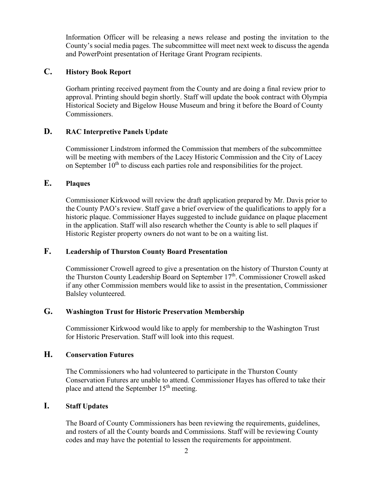Information Officer will be releasing a news release and posting the invitation to the County's social media pages. The subcommittee will meet next week to discuss the agenda and PowerPoint presentation of Heritage Grant Program recipients.

## **C. History Book Report**

Gorham printing received payment from the County and are doing a final review prior to approval. Printing should begin shortly. Staff will update the book contract with Olympia Historical Society and Bigelow House Museum and bring it before the Board of County Commissioners.

## **D. RAC Interpretive Panels Update**

Commissioner Lindstrom informed the Commission that members of the subcommittee will be meeting with members of the Lacey Historic Commission and the City of Lacey on September  $10<sup>th</sup>$  to discuss each parties role and responsibilities for the project.

## **E. Plaques**

Commissioner Kirkwood will review the draft application prepared by Mr. Davis prior to the County PAO's review. Staff gave a brief overview of the qualifications to apply for a historic plaque. Commissioner Hayes suggested to include guidance on plaque placement in the application. Staff will also research whether the County is able to sell plaques if Historic Register property owners do not want to be on a waiting list.

## **F. Leadership of Thurston County Board Presentation**

Commissioner Crowell agreed to give a presentation on the history of Thurston County at the Thurston County Leadership Board on September 17<sup>th</sup>. Commissioner Crowell asked if any other Commission members would like to assist in the presentation, Commissioner Balsley volunteered.

## **G. Washington Trust for Historic Preservation Membership**

Commissioner Kirkwood would like to apply for membership to the Washington Trust for Historic Preservation. Staff will look into this request.

## **H. Conservation Futures**

The Commissioners who had volunteered to participate in the Thurston County Conservation Futures are unable to attend. Commissioner Hayes has offered to take their place and attend the September  $15<sup>th</sup>$  meeting.

## **I. Staff Updates**

The Board of County Commissioners has been reviewing the requirements, guidelines, and rosters of all the County boards and Commissions. Staff will be reviewing County codes and may have the potential to lessen the requirements for appointment.